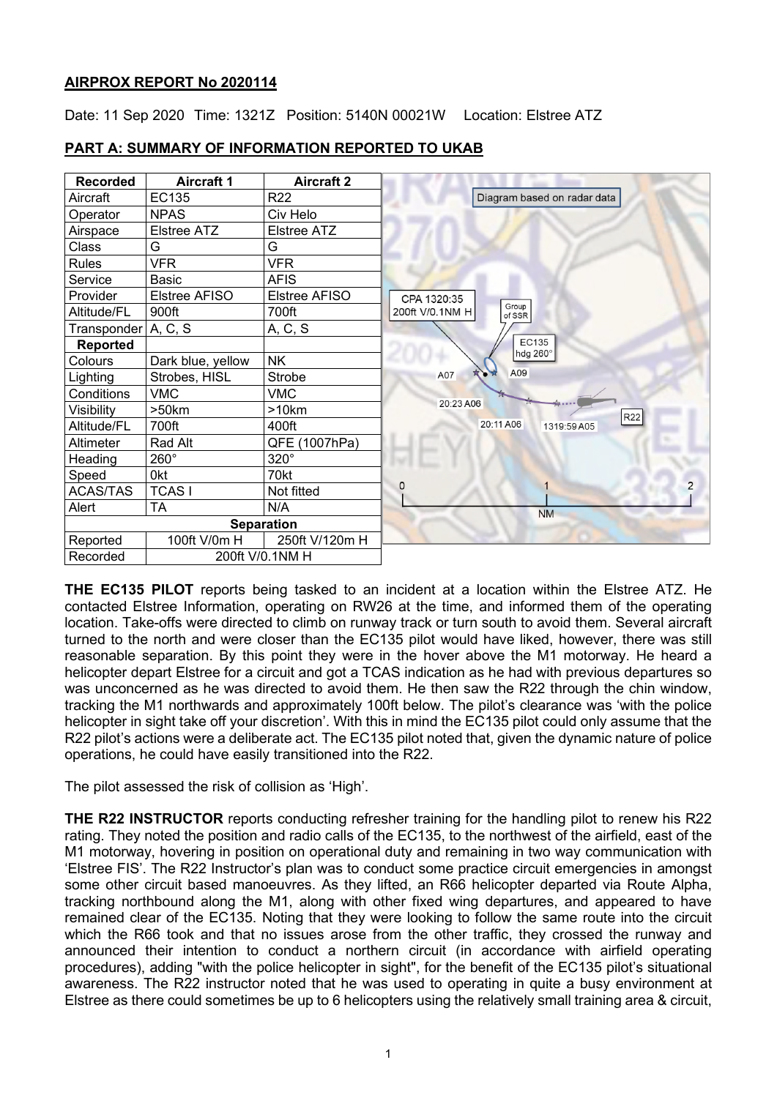# **AIRPROX REPORT No 2020114**

Date: 11 Sep 2020 Time: 1321Z Position: 5140N 00021W Location: Elstree ATZ



# **PART A: SUMMARY OF INFORMATION REPORTED TO UKAB**

**THE EC135 PILOT** reports being tasked to an incident at a location within the Elstree ATZ. He contacted Elstree Information, operating on RW26 at the time, and informed them of the operating location. Take-offs were directed to climb on runway track or turn south to avoid them. Several aircraft turned to the north and were closer than the EC135 pilot would have liked, however, there was still reasonable separation. By this point they were in the hover above the M1 motorway. He heard a helicopter depart Elstree for a circuit and got a TCAS indication as he had with previous departures so was unconcerned as he was directed to avoid them. He then saw the R22 through the chin window, tracking the M1 northwards and approximately 100ft below. The pilot's clearance was 'with the police helicopter in sight take off your discretion'. With this in mind the EC135 pilot could only assume that the R22 pilot's actions were a deliberate act. The EC135 pilot noted that, given the dynamic nature of police operations, he could have easily transitioned into the R22.

The pilot assessed the risk of collision as 'High'.

**THE R22 INSTRUCTOR** reports conducting refresher training for the handling pilot to renew his R22 rating. They noted the position and radio calls of the EC135, to the northwest of the airfield, east of the M1 motorway, hovering in position on operational duty and remaining in two way communication with 'Elstree FIS'. The R22 Instructor's plan was to conduct some practice circuit emergencies in amongst some other circuit based manoeuvres. As they lifted, an R66 helicopter departed via Route Alpha, tracking northbound along the M1, along with other fixed wing departures, and appeared to have remained clear of the EC135. Noting that they were looking to follow the same route into the circuit which the R66 took and that no issues arose from the other traffic, they crossed the runway and announced their intention to conduct a northern circuit (in accordance with airfield operating procedures), adding "with the police helicopter in sight", for the benefit of the EC135 pilot's situational awareness. The R22 instructor noted that he was used to operating in quite a busy environment at Elstree as there could sometimes be up to 6 helicopters using the relatively small training area & circuit,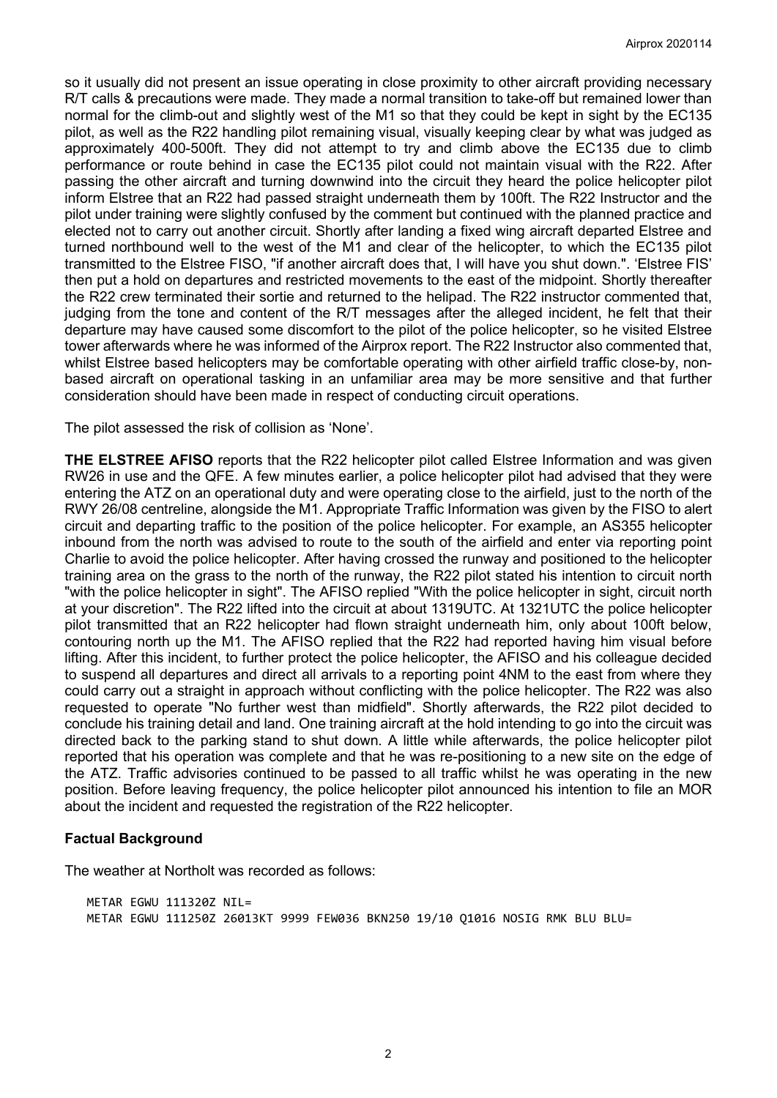so it usually did not present an issue operating in close proximity to other aircraft providing necessary R/T calls & precautions were made. They made a normal transition to take-off but remained lower than normal for the climb-out and slightly west of the M1 so that they could be kept in sight by the EC135 pilot, as well as the R22 handling pilot remaining visual, visually keeping clear by what was judged as approximately 400-500ft. They did not attempt to try and climb above the EC135 due to climb performance or route behind in case the EC135 pilot could not maintain visual with the R22. After passing the other aircraft and turning downwind into the circuit they heard the police helicopter pilot inform Elstree that an R22 had passed straight underneath them by 100ft. The R22 Instructor and the pilot under training were slightly confused by the comment but continued with the planned practice and elected not to carry out another circuit. Shortly after landing a fixed wing aircraft departed Elstree and turned northbound well to the west of the M1 and clear of the helicopter, to which the EC135 pilot transmitted to the Elstree FISO, "if another aircraft does that, I will have you shut down.". 'Elstree FIS' then put a hold on departures and restricted movements to the east of the midpoint. Shortly thereafter the R22 crew terminated their sortie and returned to the helipad. The R22 instructor commented that, judging from the tone and content of the R/T messages after the alleged incident, he felt that their departure may have caused some discomfort to the pilot of the police helicopter, so he visited Elstree tower afterwards where he was informed of the Airprox report. The R22 Instructor also commented that, whilst Elstree based helicopters may be comfortable operating with other airfield traffic close-by, nonbased aircraft on operational tasking in an unfamiliar area may be more sensitive and that further consideration should have been made in respect of conducting circuit operations.

The pilot assessed the risk of collision as 'None'.

**THE ELSTREE AFISO** reports that the R22 helicopter pilot called Elstree Information and was given RW26 in use and the QFE. A few minutes earlier, a police helicopter pilot had advised that they were entering the ATZ on an operational duty and were operating close to the airfield, just to the north of the RWY 26/08 centreline, alongside the M1. Appropriate Traffic Information was given by the FISO to alert circuit and departing traffic to the position of the police helicopter. For example, an AS355 helicopter inbound from the north was advised to route to the south of the airfield and enter via reporting point Charlie to avoid the police helicopter. After having crossed the runway and positioned to the helicopter training area on the grass to the north of the runway, the R22 pilot stated his intention to circuit north "with the police helicopter in sight". The AFISO replied "With the police helicopter in sight, circuit north at your discretion". The R22 lifted into the circuit at about 1319UTC. At 1321UTC the police helicopter pilot transmitted that an R22 helicopter had flown straight underneath him, only about 100ft below, contouring north up the M1. The AFISO replied that the R22 had reported having him visual before lifting. After this incident, to further protect the police helicopter, the AFISO and his colleague decided to suspend all departures and direct all arrivals to a reporting point 4NM to the east from where they could carry out a straight in approach without conflicting with the police helicopter. The R22 was also requested to operate "No further west than midfield". Shortly afterwards, the R22 pilot decided to conclude his training detail and land. One training aircraft at the hold intending to go into the circuit was directed back to the parking stand to shut down. A little while afterwards, the police helicopter pilot reported that his operation was complete and that he was re-positioning to a new site on the edge of the ATZ. Traffic advisories continued to be passed to all traffic whilst he was operating in the new position. Before leaving frequency, the police helicopter pilot announced his intention to file an MOR about the incident and requested the registration of the R22 helicopter.

## **Factual Background**

The weather at Northolt was recorded as follows:

METAR EGWU 111320Z NIL= METAR EGWU 111250Z 26013KT 9999 FEW036 BKN250 19/10 Q1016 NOSIG RMK BLU BLU=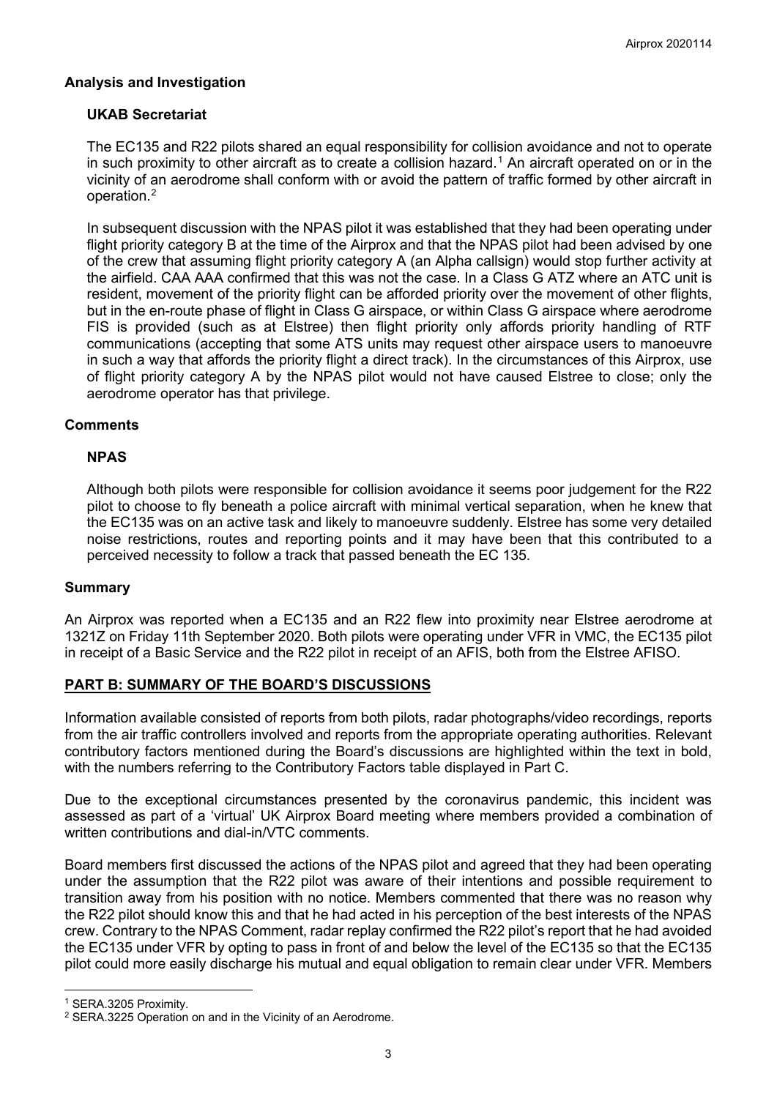# **Analysis and Investigation**

# **UKAB Secretariat**

The EC135 and R22 pilots shared an equal responsibility for collision avoidance and not to operate in such proximity to other aircraft as to create a collision hazard. [1](#page-2-0) An aircraft operated on or in the vicinity of an aerodrome shall conform with or avoid the pattern of traffic formed by other aircraft in operation. [2](#page-2-1)

In subsequent discussion with the NPAS pilot it was established that they had been operating under flight priority category B at the time of the Airprox and that the NPAS pilot had been advised by one of the crew that assuming flight priority category A (an Alpha callsign) would stop further activity at the airfield. CAA AAA confirmed that this was not the case. In a Class G ATZ where an ATC unit is resident, movement of the priority flight can be afforded priority over the movement of other flights, but in the en-route phase of flight in Class G airspace, or within Class G airspace where aerodrome FIS is provided (such as at Elstree) then flight priority only affords priority handling of RTF communications (accepting that some ATS units may request other airspace users to manoeuvre in such a way that affords the priority flight a direct track). In the circumstances of this Airprox, use of flight priority category A by the NPAS pilot would not have caused Elstree to close; only the aerodrome operator has that privilege.

## **Comments**

## **NPAS**

Although both pilots were responsible for collision avoidance it seems poor judgement for the R22 pilot to choose to fly beneath a police aircraft with minimal vertical separation, when he knew that the EC135 was on an active task and likely to manoeuvre suddenly. Elstree has some very detailed noise restrictions, routes and reporting points and it may have been that this contributed to a perceived necessity to follow a track that passed beneath the EC 135.

## **Summary**

An Airprox was reported when a EC135 and an R22 flew into proximity near Elstree aerodrome at 1321Z on Friday 11th September 2020. Both pilots were operating under VFR in VMC, the EC135 pilot in receipt of a Basic Service and the R22 pilot in receipt of an AFIS, both from the Elstree AFISO.

## **PART B: SUMMARY OF THE BOARD'S DISCUSSIONS**

Information available consisted of reports from both pilots, radar photographs/video recordings, reports from the air traffic controllers involved and reports from the appropriate operating authorities. Relevant contributory factors mentioned during the Board's discussions are highlighted within the text in bold, with the numbers referring to the Contributory Factors table displayed in Part C.

Due to the exceptional circumstances presented by the coronavirus pandemic, this incident was assessed as part of a 'virtual' UK Airprox Board meeting where members provided a combination of written contributions and dial-in/VTC comments.

Board members first discussed the actions of the NPAS pilot and agreed that they had been operating under the assumption that the R22 pilot was aware of their intentions and possible requirement to transition away from his position with no notice. Members commented that there was no reason why the R22 pilot should know this and that he had acted in his perception of the best interests of the NPAS crew. Contrary to the NPAS Comment, radar replay confirmed the R22 pilot's report that he had avoided the EC135 under VFR by opting to pass in front of and below the level of the EC135 so that the EC135 pilot could more easily discharge his mutual and equal obligation to remain clear under VFR. Members

<span id="page-2-0"></span><sup>1</sup> SERA.3205 Proximity.

<span id="page-2-1"></span><sup>2</sup> SERA.3225 Operation on and in the Vicinity of an Aerodrome.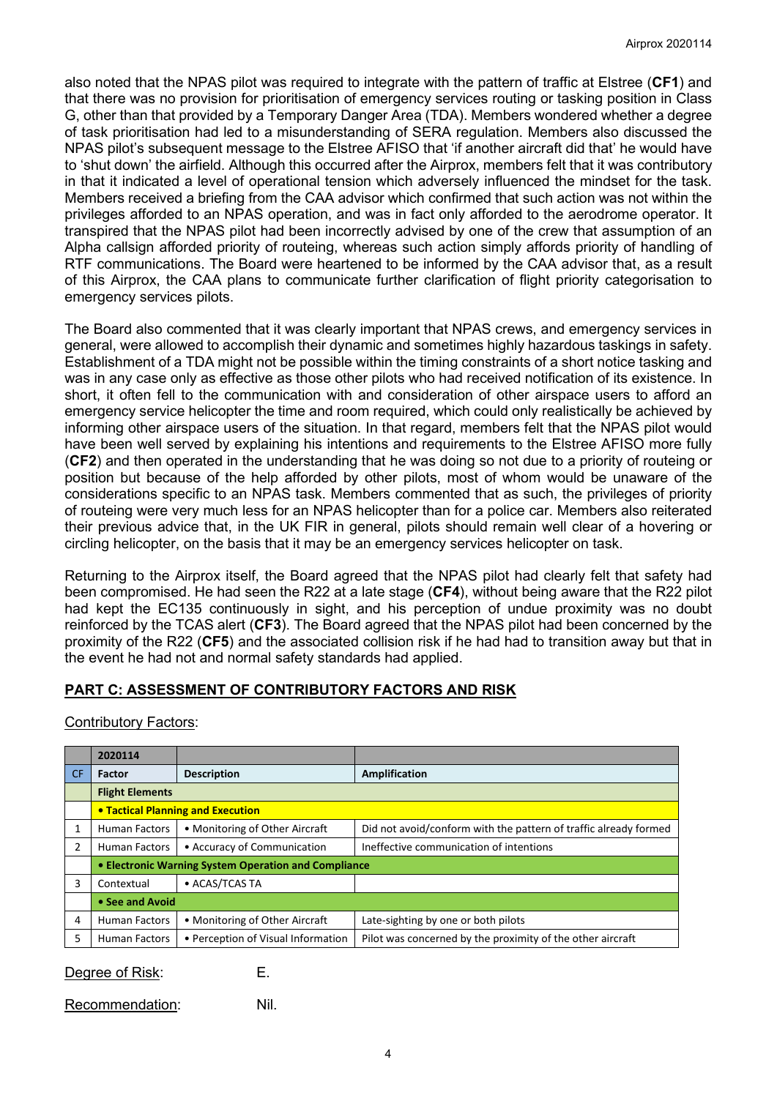also noted that the NPAS pilot was required to integrate with the pattern of traffic at Elstree (**CF1**) and that there was no provision for prioritisation of emergency services routing or tasking position in Class G, other than that provided by a Temporary Danger Area (TDA). Members wondered whether a degree of task prioritisation had led to a misunderstanding of SERA regulation. Members also discussed the NPAS pilot's subsequent message to the Elstree AFISO that 'if another aircraft did that' he would have to 'shut down' the airfield. Although this occurred after the Airprox, members felt that it was contributory in that it indicated a level of operational tension which adversely influenced the mindset for the task. Members received a briefing from the CAA advisor which confirmed that such action was not within the privileges afforded to an NPAS operation, and was in fact only afforded to the aerodrome operator. It transpired that the NPAS pilot had been incorrectly advised by one of the crew that assumption of an Alpha callsign afforded priority of routeing, whereas such action simply affords priority of handling of RTF communications. The Board were heartened to be informed by the CAA advisor that, as a result of this Airprox, the CAA plans to communicate further clarification of flight priority categorisation to emergency services pilots.

The Board also commented that it was clearly important that NPAS crews, and emergency services in general, were allowed to accomplish their dynamic and sometimes highly hazardous taskings in safety. Establishment of a TDA might not be possible within the timing constraints of a short notice tasking and was in any case only as effective as those other pilots who had received notification of its existence. In short, it often fell to the communication with and consideration of other airspace users to afford an emergency service helicopter the time and room required, which could only realistically be achieved by informing other airspace users of the situation. In that regard, members felt that the NPAS pilot would have been well served by explaining his intentions and requirements to the Elstree AFISO more fully (**CF2**) and then operated in the understanding that he was doing so not due to a priority of routeing or position but because of the help afforded by other pilots, most of whom would be unaware of the considerations specific to an NPAS task. Members commented that as such, the privileges of priority of routeing were very much less for an NPAS helicopter than for a police car. Members also reiterated their previous advice that, in the UK FIR in general, pilots should remain well clear of a hovering or circling helicopter, on the basis that it may be an emergency services helicopter on task.

Returning to the Airprox itself, the Board agreed that the NPAS pilot had clearly felt that safety had been compromised. He had seen the R22 at a late stage (**CF4**), without being aware that the R22 pilot had kept the EC135 continuously in sight, and his perception of undue proximity was no doubt reinforced by the TCAS alert (**CF3**). The Board agreed that the NPAS pilot had been concerned by the proximity of the R22 (**CF5**) and the associated collision risk if he had had to transition away but that in the event he had not and normal safety standards had applied.

## **PART C: ASSESSMENT OF CONTRIBUTORY FACTORS AND RISK**

Contributory Factors:

| 2020114                                              |                                    |                                                                  |
|------------------------------------------------------|------------------------------------|------------------------------------------------------------------|
| Factor                                               | <b>Description</b>                 | <b>Amplification</b>                                             |
| <b>Flight Elements</b>                               |                                    |                                                                  |
| <b>• Tactical Planning and Execution</b>             |                                    |                                                                  |
| <b>Human Factors</b>                                 | • Monitoring of Other Aircraft     | Did not avoid/conform with the pattern of traffic already formed |
| <b>Human Factors</b>                                 | • Accuracy of Communication        | Ineffective communication of intentions                          |
| • Electronic Warning System Operation and Compliance |                                    |                                                                  |
| Contextual                                           | • ACAS/TCAS TA                     |                                                                  |
| • See and Avoid                                      |                                    |                                                                  |
| <b>Human Factors</b>                                 | • Monitoring of Other Aircraft     | Late-sighting by one or both pilots                              |
| <b>Human Factors</b>                                 | • Perception of Visual Information | Pilot was concerned by the proximity of the other aircraft       |
|                                                      |                                    |                                                                  |

Degree of Risk: E.

Recommendation: Nil.